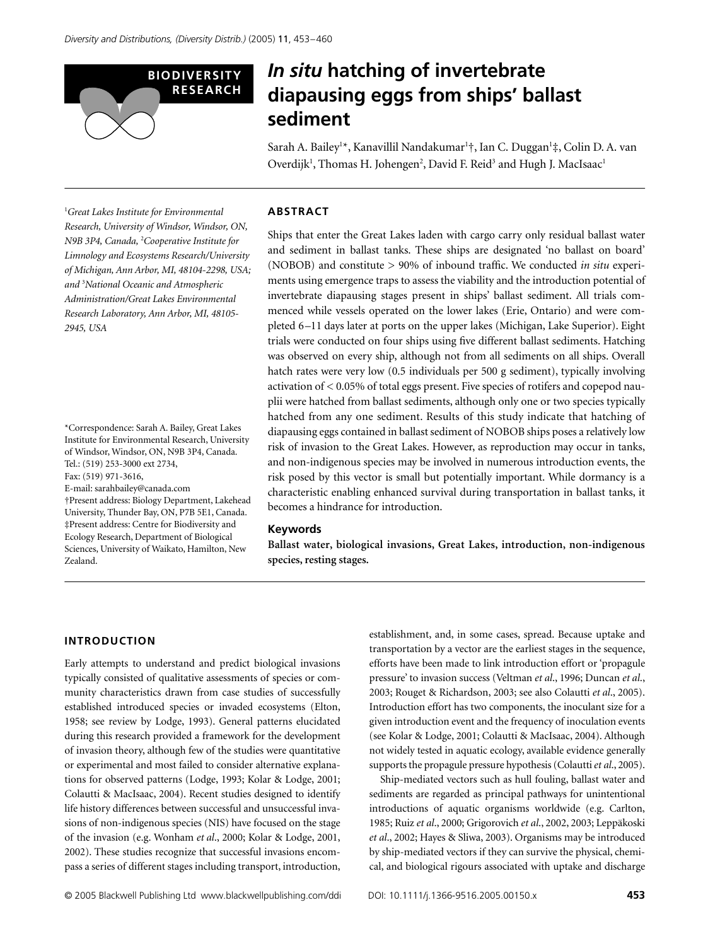

# **In situ hatching of invertebrate diapausing eggs from ships' ballast sediment**

Sarah A. Bailey<sup>1</sup>\*, Kanavillil Nandakumar<sup>1</sup>†, Ian C. Duggan<sup>1</sup>‡, Colin D. A. van Overdijk<sup>1</sup>, Thomas H. Johengen<sup>2</sup>, David F. Reid<sup>3</sup> and Hugh J. MacIsaac<sup>1</sup>

1 *Great Lakes Institute for Environmental Research, University of Windsor, Windsor, ON, N9B 3P4, Canada,* <sup>2</sup> *Cooperative Institute for Limnology and Ecosystems Research/University of Michigan, Ann Arbor, MI, 48104-2298, USA; and* <sup>3</sup> *National Oceanic and Atmospheric Administration/Great Lakes Environmental Research Laboratory, Ann Arbor, MI, 48105- 2945, USA* 

\*Correspondence: Sarah A. Bailey, Great Lakes Institute for Environmental Research, University of Windsor, Windsor, ON, N9B 3P4, Canada. Tel.: (519) 253-3000 ext 2734, Fax: (519) 971-3616, E-mail: sarahbailey@canada.com †Present address: Biology Department, Lakehead University, Thunder Bay, ON, P7B 5E1, Canada. ‡Present address: Centre for Biodiversity and Ecology Research, Department of Biological Sciences, University of Waikato, Hamilton, New Zealand.

#### **ABSTRACT**

Ships that enter the Great Lakes laden with cargo carry only residual ballast water and sediment in ballast tanks. These ships are designated 'no ballast on board' (NOBOB) and constitute > 90% of inbound traffic. We conducted *in situ* experiments using emergence traps to assess the viability and the introduction potential of invertebrate diapausing stages present in ships' ballast sediment. All trials commenced while vessels operated on the lower lakes (Erie, Ontario) and were completed 6–11 days later at ports on the upper lakes (Michigan, Lake Superior). Eight trials were conducted on four ships using five different ballast sediments. Hatching was observed on every ship, although not from all sediments on all ships. Overall hatch rates were very low (0.5 individuals per 500 g sediment), typically involving activation of < 0.05% of total eggs present. Five species of rotifers and copepod nauplii were hatched from ballast sediments, although only one or two species typically hatched from any one sediment. Results of this study indicate that hatching of diapausing eggs contained in ballast sediment of NOBOB ships poses a relatively low risk of invasion to the Great Lakes. However, as reproduction may occur in tanks, and non-indigenous species may be involved in numerous introduction events, the risk posed by this vector is small but potentially important. While dormancy is a characteristic enabling enhanced survival during transportation in ballast tanks, it becomes a hindrance for introduction.

## **Keywords**

**Ballast water, biological invasions, Great Lakes, introduction, non-indigenous species, resting stages.**

#### **INTRODUCTION**

Early attempts to understand and predict biological invasions typically consisted of qualitative assessments of species or community characteristics drawn from case studies of successfully established introduced species or invaded ecosystems (Elton, 1958; see review by Lodge, 1993). General patterns elucidated during this research provided a framework for the development of invasion theory, although few of the studies were quantitative or experimental and most failed to consider alternative explanations for observed patterns (Lodge, 1993; Kolar & Lodge, 2001; Colautti & MacIsaac, 2004). Recent studies designed to identify life history differences between successful and unsuccessful invasions of non-indigenous species (NIS) have focused on the stage of the invasion (e.g. Wonham *et al*., 2000; Kolar & Lodge, 2001, 2002). These studies recognize that successful invasions encompass a series of different stages including transport, introduction,

establishment, and, in some cases, spread. Because uptake and transportation by a vector are the earliest stages in the sequence, efforts have been made to link introduction effort or 'propagule pressure' to invasion success (Veltman *et al*., 1996; Duncan *et al*., 2003; Rouget & Richardson, 2003; see also Colautti *et al*., 2005). Introduction effort has two components, the inoculant size for a given introduction event and the frequency of inoculation events (see Kolar & Lodge, 2001; Colautti & MacIsaac, 2004). Although not widely tested in aquatic ecology, available evidence generally supports the propagule pressure hypothesis (Colautti *et al*., 2005).

Ship-mediated vectors such as hull fouling, ballast water and sediments are regarded as principal pathways for unintentional introductions of aquatic organisms worldwide (e.g. Carlton, 1985; Ruiz *et al*., 2000; Grigorovich *et al*., 2002, 2003; Leppäkoski *et al*., 2002; Hayes & Sliwa, 2003). Organisms may be introduced by ship-mediated vectors if they can survive the physical, chemical, and biological rigours associated with uptake and discharge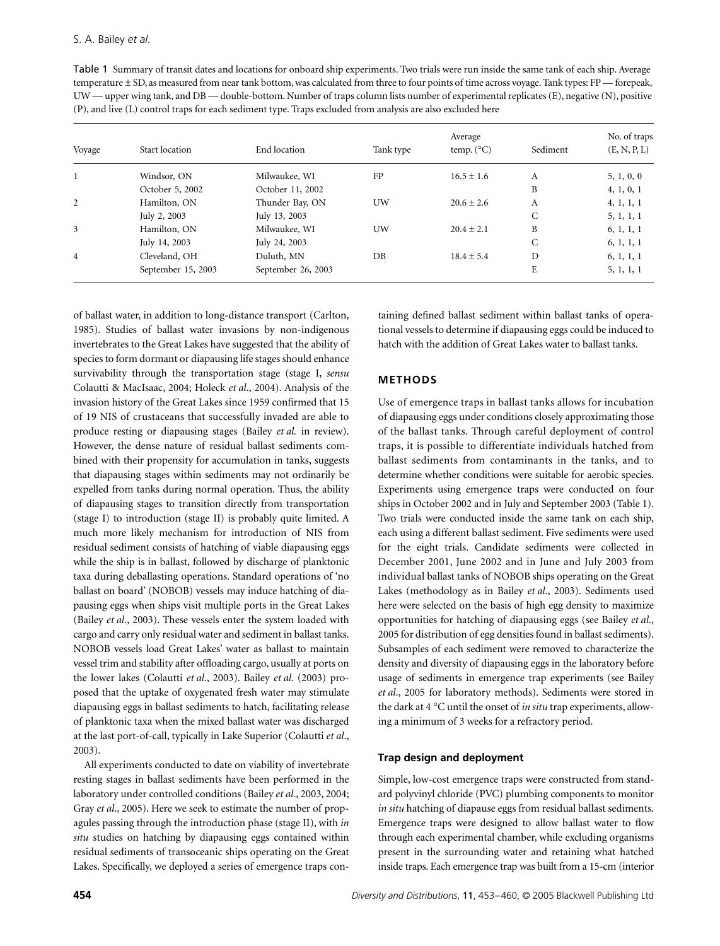| Table 1 Summary of transit dates and locations for onboard ship experiments. Two trials were run inside the same tank of each ship. Average     |
|-------------------------------------------------------------------------------------------------------------------------------------------------|
| temperature ± SD, as measured from near tank bottom, was calculated from three to four points of time across voyage. Tank types: FP — forepeak, |
| UW — upper wing tank, and DB — double-bottom. Number of traps column lists number of experimental replicates $(E)$ , negative $(N)$ , positive  |
| (P), and live (L) control traps for each sediment type. Traps excluded from analysis are also excluded here                                     |

| Voyage         | Start location     | End location       | Tank type | Average<br>temp. $(^{\circ}C)$ | Sediment | No. of traps<br>(E, N, P, L) |
|----------------|--------------------|--------------------|-----------|--------------------------------|----------|------------------------------|
| $\mathbf{1}$   | Windsor, ON        | Milwaukee, WI      | FP        | $16.5 \pm 1.6$                 | A        | 5, 1, 0, 0                   |
|                | October 5, 2002    | October 11, 2002   |           |                                | B        | 4, 1, 0, 1                   |
| 2              | Hamilton, ON       | Thunder Bay, ON    | UW        | $20.6 + 2.6$                   | А        | 4, 1, 1, 1                   |
|                | July 2, 2003       | July 13, 2003      |           |                                | C        | 5, 1, 1, 1                   |
| 3              | Hamilton, ON       | Milwaukee, WI      | UW        | $20.4 + 2.1$                   | B        | 6, 1, 1, 1                   |
|                | July 14, 2003      | July 24, 2003      |           |                                | C        | 6, 1, 1, 1                   |
| $\overline{4}$ | Cleveland, OH      | Duluth, MN         | DB        | $18.4 + 5.4$                   | D        | 6, 1, 1, 1                   |
|                | September 15, 2003 | September 26, 2003 |           |                                | E        | 5, 1, 1, 1                   |

of ballast water, in addition to long-distance transport (Carlton, 1985). Studies of ballast water invasions by non-indigenous invertebrates to the Great Lakes have suggested that the ability of species to form dormant or diapausing life stages should enhance survivability through the transportation stage (stage I, *sensu* Colautti & MacIsaac, 2004; Holeck *et al*., 2004). Analysis of the invasion history of the Great Lakes since 1959 confirmed that 15 of 19 NIS of crustaceans that successfully invaded are able to produce resting or diapausing stages (Bailey *et al.* in review). However, the dense nature of residual ballast sediments combined with their propensity for accumulation in tanks, suggests that diapausing stages within sediments may not ordinarily be expelled from tanks during normal operation. Thus, the ability of diapausing stages to transition directly from transportation (stage I) to introduction (stage II) is probably quite limited. A much more likely mechanism for introduction of NIS from residual sediment consists of hatching of viable diapausing eggs while the ship is in ballast, followed by discharge of planktonic taxa during deballasting operations. Standard operations of 'no ballast on board' (NOBOB) vessels may induce hatching of diapausing eggs when ships visit multiple ports in the Great Lakes (Bailey *et al*., 2003). These vessels enter the system loaded with cargo and carry only residual water and sediment in ballast tanks. NOBOB vessels load Great Lakes' water as ballast to maintain vessel trim and stability after offloading cargo, usually at ports on the lower lakes (Colautti *et al*., 2003). Bailey *et al*. (2003) proposed that the uptake of oxygenated fresh water may stimulate diapausing eggs in ballast sediments to hatch, facilitating release of planktonic taxa when the mixed ballast water was discharged at the last port-of-call, typically in Lake Superior (Colautti *et al*., 2003).

All experiments conducted to date on viability of invertebrate resting stages in ballast sediments have been performed in the laboratory under controlled conditions (Bailey *et al*., 2003, 2004; Gray *et al*., 2005). Here we seek to estimate the number of propagules passing through the introduction phase (stage II), with *in situ* studies on hatching by diapausing eggs contained within residual sediments of transoceanic ships operating on the Great Lakes. Specifically, we deployed a series of emergence traps con-

taining defined ballast sediment within ballast tanks of operational vessels to determine if diapausing eggs could be induced to hatch with the addition of Great Lakes water to ballast tanks.

## **METHODS**

Use of emergence traps in ballast tanks allows for incubation of diapausing eggs under conditions closely approximating those of the ballast tanks. Through careful deployment of control traps, it is possible to differentiate individuals hatched from ballast sediments from contaminants in the tanks, and to determine whether conditions were suitable for aerobic species. Experiments using emergence traps were conducted on four ships in October 2002 and in July and September 2003 (Table 1). Two trials were conducted inside the same tank on each ship, each using a different ballast sediment. Five sediments were used for the eight trials. Candidate sediments were collected in December 2001, June 2002 and in June and July 2003 from individual ballast tanks of NOBOB ships operating on the Great Lakes (methodology as in Bailey *et al*., 2003). Sediments used here were selected on the basis of high egg density to maximize opportunities for hatching of diapausing eggs (see Bailey *et al*., 2005 for distribution of egg densities found in ballast sediments). Subsamples of each sediment were removed to characterize the density and diversity of diapausing eggs in the laboratory before usage of sediments in emergence trap experiments (see Bailey *et al*., 2005 for laboratory methods). Sediments were stored in the dark at 4 °C until the onset of *in situ* trap experiments, allowing a minimum of 3 weeks for a refractory period.

## **Trap design and deployment**

Simple, low-cost emergence traps were constructed from standard polyvinyl chloride (PVC) plumbing components to monitor *in situ* hatching of diapause eggs from residual ballast sediments. Emergence traps were designed to allow ballast water to flow through each experimental chamber, while excluding organisms present in the surrounding water and retaining what hatched inside traps. Each emergence trap was built from a 15-cm (interior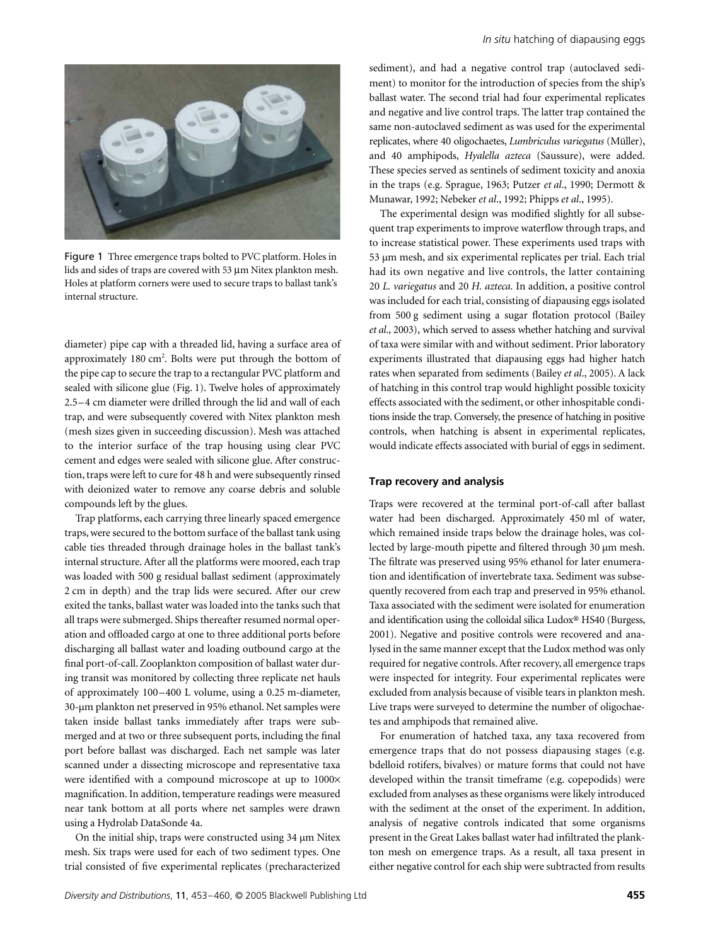

Figure 1 Three emergence traps bolted to PVC platform. Holes in lids and sides of traps are covered with 53 µm Nitex plankton mesh. Holes at platform corners were used to secure traps to ballast tank's internal structure.

diameter) pipe cap with a threaded lid, having a surface area of approximately 180 cm<sup>2</sup>. Bolts were put through the bottom of the pipe cap to secure the trap to a rectangular PVC platform and sealed with silicone glue (Fig. 1). Twelve holes of approximately 2.5–4 cm diameter were drilled through the lid and wall of each trap, and were subsequently covered with Nitex plankton mesh (mesh sizes given in succeeding discussion). Mesh was attached to the interior surface of the trap housing using clear PVC cement and edges were sealed with silicone glue. After construction, traps were left to cure for 48 h and were subsequently rinsed with deionized water to remove any coarse debris and soluble compounds left by the glues.

Trap platforms, each carrying three linearly spaced emergence traps, were secured to the bottom surface of the ballast tank using cable ties threaded through drainage holes in the ballast tank's internal structure. After all the platforms were moored, each trap was loaded with 500 g residual ballast sediment (approximately 2 cm in depth) and the trap lids were secured. After our crew exited the tanks, ballast water was loaded into the tanks such that all traps were submerged. Ships thereafter resumed normal operation and offloaded cargo at one to three additional ports before discharging all ballast water and loading outbound cargo at the final port-of-call. Zooplankton composition of ballast water during transit was monitored by collecting three replicate net hauls of approximately 100–400 L volume, using a 0.25 m-diameter, 30-µm plankton net preserved in 95% ethanol. Net samples were taken inside ballast tanks immediately after traps were submerged and at two or three subsequent ports, including the final port before ballast was discharged. Each net sample was later scanned under a dissecting microscope and representative taxa were identified with a compound microscope at up to 1000× magnification. In addition, temperature readings were measured near tank bottom at all ports where net samples were drawn using a Hydrolab DataSonde 4a.

On the initial ship, traps were constructed using 34 µm Nitex mesh. Six traps were used for each of two sediment types. One trial consisted of five experimental replicates (precharacterized sediment), and had a negative control trap (autoclaved sediment) to monitor for the introduction of species from the ship's ballast water. The second trial had four experimental replicates and negative and live control traps. The latter trap contained the same non-autoclaved sediment as was used for the experimental replicates, where 40 oligochaetes, *Lumbriculus variegatus* (Müller), and 40 amphipods, *Hyalella azteca* (Saussure), were added. These species served as sentinels of sediment toxicity and anoxia in the traps (e.g. Sprague, 1963; Putzer *et al*., 1990; Dermott & Munawar, 1992; Nebeker *et al*., 1992; Phipps *et al*., 1995).

The experimental design was modified slightly for all subsequent trap experiments to improve waterflow through traps, and to increase statistical power. These experiments used traps with 53 µm mesh, and six experimental replicates per trial. Each trial had its own negative and live controls, the latter containing 20 *L. variegatus* and 20 *H. azteca.* In addition, a positive control was included for each trial, consisting of diapausing eggs isolated from 500 g sediment using a sugar flotation protocol (Bailey *et al*., 2003), which served to assess whether hatching and survival of taxa were similar with and without sediment. Prior laboratory experiments illustrated that diapausing eggs had higher hatch rates when separated from sediments (Bailey *et al*., 2005). A lack of hatching in this control trap would highlight possible toxicity effects associated with the sediment, or other inhospitable conditions inside the trap. Conversely, the presence of hatching in positive controls, when hatching is absent in experimental replicates, would indicate effects associated with burial of eggs in sediment.

#### **Trap recovery and analysis**

Traps were recovered at the terminal port-of-call after ballast water had been discharged. Approximately 450 ml of water, which remained inside traps below the drainage holes, was collected by large-mouth pipette and filtered through 30 µm mesh. The filtrate was preserved using 95% ethanol for later enumeration and identification of invertebrate taxa. Sediment was subsequently recovered from each trap and preserved in 95% ethanol. Taxa associated with the sediment were isolated for enumeration and identification using the colloidal silica Ludox® HS40 (Burgess, 2001). Negative and positive controls were recovered and analysed in the same manner except that the Ludox method was only required for negative controls. After recovery, all emergence traps were inspected for integrity. Four experimental replicates were excluded from analysis because of visible tears in plankton mesh. Live traps were surveyed to determine the number of oligochaetes and amphipods that remained alive.

For enumeration of hatched taxa, any taxa recovered from emergence traps that do not possess diapausing stages (e.g. bdelloid rotifers, bivalves) or mature forms that could not have developed within the transit timeframe (e.g. copepodids) were excluded from analyses as these organisms were likely introduced with the sediment at the onset of the experiment. In addition, analysis of negative controls indicated that some organisms present in the Great Lakes ballast water had infiltrated the plankton mesh on emergence traps. As a result, all taxa present in either negative control for each ship were subtracted from results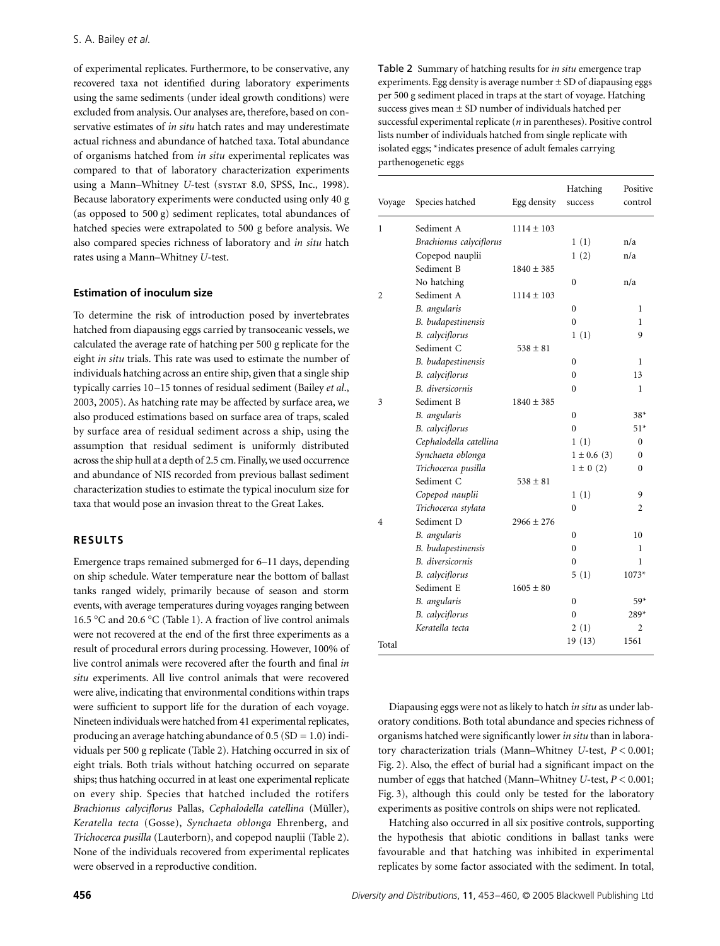of experimental replicates. Furthermore, to be conservative, any recovered taxa not identified during laboratory experiments using the same sediments (under ideal growth conditions) were excluded from analysis. Our analyses are, therefore, based on conservative estimates of *in situ* hatch rates and may underestimate actual richness and abundance of hatched taxa. Total abundance of organisms hatched from *in situ* experimental replicates was compared to that of laboratory characterization experiments using a Mann-Whitney *U*-test (systar 8.0, SPSS, Inc., 1998). Because laboratory experiments were conducted using only 40 g (as opposed to 500 g) sediment replicates, total abundances of hatched species were extrapolated to 500 g before analysis. We also compared species richness of laboratory and *in situ* hatch rates using a Mann–Whitney *U*-test.

#### **Estimation of inoculum size**

To determine the risk of introduction posed by invertebrates hatched from diapausing eggs carried by transoceanic vessels, we calculated the average rate of hatching per 500 g replicate for the eight *in situ* trials. This rate was used to estimate the number of individuals hatching across an entire ship, given that a single ship typically carries 10–15 tonnes of residual sediment (Bailey *et al*., 2003, 2005). As hatching rate may be affected by surface area, we also produced estimations based on surface area of traps, scaled by surface area of residual sediment across a ship, using the assumption that residual sediment is uniformly distributed across the ship hull at a depth of 2.5 cm. Finally, we used occurrence and abundance of NIS recorded from previous ballast sediment characterization studies to estimate the typical inoculum size for taxa that would pose an invasion threat to the Great Lakes.

### **RESULTS**

Emergence traps remained submerged for 6–11 days, depending on ship schedule. Water temperature near the bottom of ballast tanks ranged widely, primarily because of season and storm events, with average temperatures during voyages ranging between 16.5 °C and 20.6 °C (Table 1). A fraction of live control animals were not recovered at the end of the first three experiments as a result of procedural errors during processing. However, 100% of live control animals were recovered after the fourth and final *in situ* experiments. All live control animals that were recovered were alive, indicating that environmental conditions within traps were sufficient to support life for the duration of each voyage. Nineteen individuals were hatched from 41 experimental replicates, producing an average hatching abundance of  $0.5$  (SD = 1.0) individuals per 500 g replicate (Table 2). Hatching occurred in six of eight trials. Both trials without hatching occurred on separate ships; thus hatching occurred in at least one experimental replicate on every ship. Species that hatched included the rotifers *Brachionus calyciflorus* Pallas, *Cephalodella catellina* (Müller), *Keratella tecta* (Gosse), *Synchaeta oblonga* Ehrenberg, and *Trichocerca pusilla* (Lauterborn), and copepod nauplii (Table 2). None of the individuals recovered from experimental replicates were observed in a reproductive condition.

Table 2 Summary of hatching results for *in situ* emergence trap experiments. Egg density is average number  $\pm$  SD of diapausing eggs per 500 g sediment placed in traps at the start of voyage. Hatching success gives mean ± SD number of individuals hatched per successful experimental replicate (*n* in parentheses). Positive control lists number of individuals hatched from single replicate with isolated eggs; \*indicates presence of adult females carrying parthenogenetic eggs

| Voyage | Species hatched         | Egg density    | Hatching<br>success | Positive<br>control |
|--------|-------------------------|----------------|---------------------|---------------------|
| 1      | Sediment A              | $1114 \pm 103$ |                     |                     |
|        | Brachionus calyciflorus |                | 1(1)                | n/a                 |
|        | Copepod nauplii         |                | 1(2)                | n/a                 |
|        | Sediment B              | $1840 \pm 385$ |                     |                     |
|        | No hatching             |                | $\overline{0}$      | n/a                 |
| 2      | Sediment A              | $1114 \pm 103$ |                     |                     |
|        | B. angularis            |                | 0                   | 1                   |
|        | B. budapestinensis      |                | $\theta$            | 1                   |
|        | B. calyciflorus         |                | 1(1)                | 9                   |
|        | Sediment C              | $538 \pm 81$   |                     |                     |
|        | B. budapestinensis      |                | $\overline{0}$      | 1                   |
|        | B. calyciflorus         |                | $\Omega$            | 13                  |
|        | <b>B.</b> diversicornis |                | $\theta$            | 1                   |
| 3      | Sediment B              | $1840 \pm 385$ |                     |                     |
|        | B. angularis            |                | $\theta$            | $38*$               |
|        | B. calyciflorus         |                | $\theta$            | $51*$               |
|        | Cephalodella catellina  |                | 1(1)                | $\mathbf{0}$        |
|        | Synchaeta oblonga       |                | $1 \pm 0.6$ (3)     | $\mathbf{0}$        |
|        | Trichocerca pusilla     |                | $1 \pm 0$ (2)       | $\mathbf{0}$        |
|        | Sediment C              | $538 \pm 81$   |                     |                     |
|        | Copepod nauplii         |                | 1(1)                | 9                   |
|        | Trichocerca stylata     |                | $\theta$            | $\overline{c}$      |
| 4      | Sediment D              | $2966 \pm 276$ |                     |                     |
|        | B. angularis            |                | 0                   | 10                  |
|        | B. budapestinensis      |                | $\Omega$            | 1                   |
|        | <b>B.</b> diversicornis |                | $\theta$            | 1                   |
|        | B. calyciflorus         |                | 5(1)                | $1073*$             |
|        | Sediment E              | $1605 \pm 80$  |                     |                     |
|        | B. angularis            |                | $\theta$            | $59*$               |
|        | B. calyciflorus         |                | $\overline{0}$      | 289*                |
|        | Keratella tecta         |                | 2(1)                | 2                   |
| Total  |                         |                | 19 (13)             | 1561                |

Diapausing eggs were not as likely to hatch *in situ* as under laboratory conditions. Both total abundance and species richness of organisms hatched were significantly lower *in situ* than in laboratory characterization trials (Mann–Whitney *U*-test, *P* < 0.001; Fig. 2). Also, the effect of burial had a significant impact on the number of eggs that hatched (Mann–Whitney *U*-test, *P* < 0.001; Fig. 3), although this could only be tested for the laboratory experiments as positive controls on ships were not replicated.

Hatching also occurred in all six positive controls, supporting the hypothesis that abiotic conditions in ballast tanks were favourable and that hatching was inhibited in experimental replicates by some factor associated with the sediment. In total,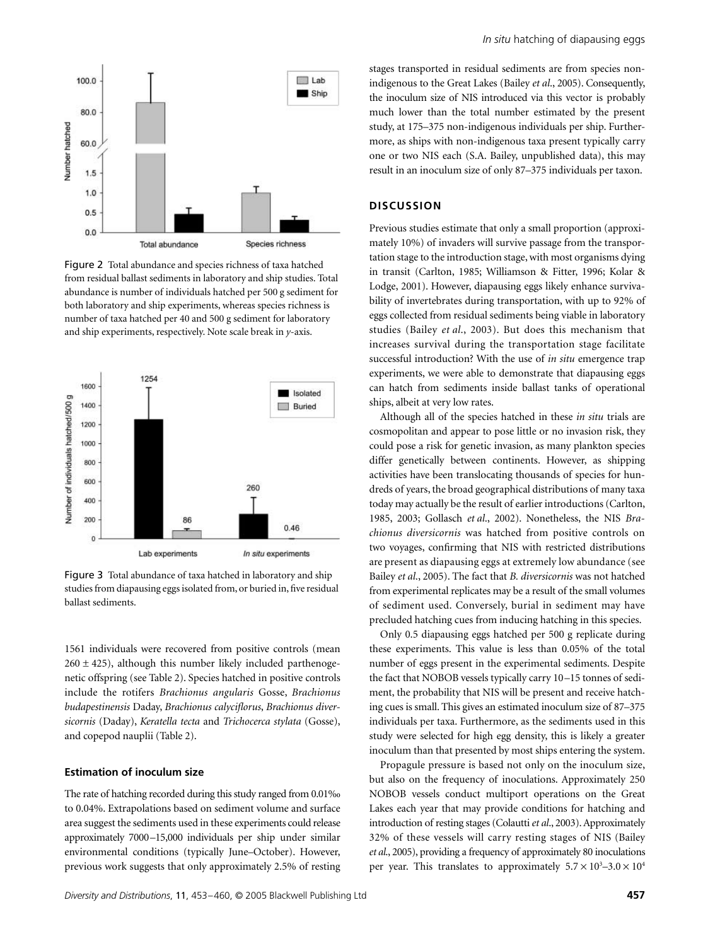

Figure 2 Total abundance and species richness of taxa hatched from residual ballast sediments in laboratory and ship studies. Total abundance is number of individuals hatched per 500 g sediment for both laboratory and ship experiments, whereas species richness is number of taxa hatched per 40 and 500 g sediment for laboratory and ship experiments, respectively. Note scale break in *y*-axis.



Figure 3 Total abundance of taxa hatched in laboratory and ship studies from diapausing eggs isolated from, or buried in, five residual ballast sediments.

1561 individuals were recovered from positive controls (mean  $260 \pm 425$ ), although this number likely included parthenogenetic offspring (see Table 2). Species hatched in positive controls include the rotifers *Brachionus angularis* Gosse, *Brachionus budapestinensis* Daday, *Brachionus calyciflorus*, *Brachionus diversicornis* (Daday), *Keratella tecta* and *Trichocerca stylata* (Gosse), and copepod nauplii (Table 2).

#### **Estimation of inoculum size**

The rate of hatching recorded during this study ranged from 0.01‰ to 0.04%. Extrapolations based on sediment volume and surface area suggest the sediments used in these experiments could release approximately 7000–15,000 individuals per ship under similar environmental conditions (typically June–October). However, previous work suggests that only approximately 2.5% of resting stages transported in residual sediments are from species nonindigenous to the Great Lakes (Bailey *et al*., 2005). Consequently, the inoculum size of NIS introduced via this vector is probably much lower than the total number estimated by the present study, at 175–375 non-indigenous individuals per ship. Furthermore, as ships with non-indigenous taxa present typically carry one or two NIS each (S.A. Bailey, unpublished data), this may result in an inoculum size of only 87–375 individuals per taxon.

## **DISCUSSION**

Previous studies estimate that only a small proportion (approximately 10%) of invaders will survive passage from the transportation stage to the introduction stage, with most organisms dying in transit (Carlton, 1985; Williamson & Fitter, 1996; Kolar & Lodge, 2001). However, diapausing eggs likely enhance survivability of invertebrates during transportation, with up to 92% of eggs collected from residual sediments being viable in laboratory studies (Bailey *et al*., 2003). But does this mechanism that increases survival during the transportation stage facilitate successful introduction? With the use of *in situ* emergence trap experiments, we were able to demonstrate that diapausing eggs can hatch from sediments inside ballast tanks of operational ships, albeit at very low rates.

Although all of the species hatched in these *in situ* trials are cosmopolitan and appear to pose little or no invasion risk, they could pose a risk for genetic invasion, as many plankton species differ genetically between continents. However, as shipping activities have been translocating thousands of species for hundreds of years, the broad geographical distributions of many taxa today may actually be the result of earlier introductions (Carlton, 1985, 2003; Gollasch *et al*., 2002). Nonetheless, the NIS *Brachionus diversicornis* was hatched from positive controls on two voyages, confirming that NIS with restricted distributions are present as diapausing eggs at extremely low abundance (see Bailey *et al*., 2005). The fact that *B. diversicornis* was not hatched from experimental replicates may be a result of the small volumes of sediment used. Conversely, burial in sediment may have precluded hatching cues from inducing hatching in this species.

Only 0.5 diapausing eggs hatched per 500 g replicate during these experiments. This value is less than 0.05% of the total number of eggs present in the experimental sediments. Despite the fact that NOBOB vessels typically carry 10–15 tonnes of sediment, the probability that NIS will be present and receive hatching cues is small. This gives an estimated inoculum size of 87–375 individuals per taxa. Furthermore, as the sediments used in this study were selected for high egg density, this is likely a greater inoculum than that presented by most ships entering the system.

Propagule pressure is based not only on the inoculum size, but also on the frequency of inoculations. Approximately 250 NOBOB vessels conduct multiport operations on the Great Lakes each year that may provide conditions for hatching and introduction of resting stages (Colautti *et al*., 2003). Approximately 32% of these vessels will carry resting stages of NIS (Bailey *et al*., 2005), providing a frequency of approximately 80 inoculations per year. This translates to approximately  $5.7 \times 10^3 - 3.0 \times 10^4$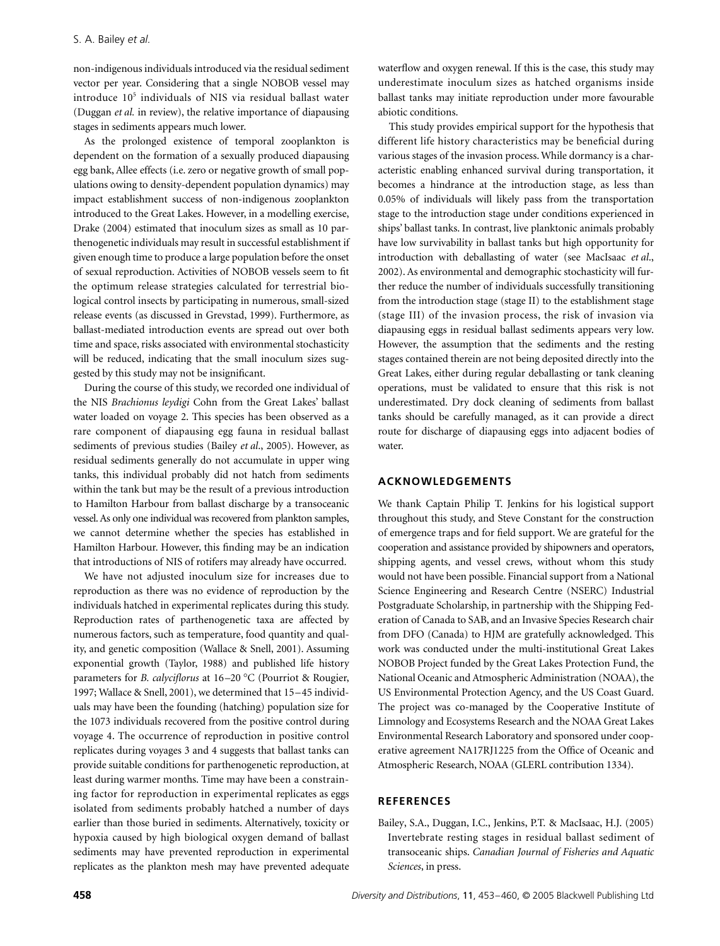non-indigenous individuals introduced via the residual sediment vector per year. Considering that a single NOBOB vessel may introduce 10<sup>5</sup> individuals of NIS via residual ballast water (Duggan *et al.* in review), the relative importance of diapausing stages in sediments appears much lower.

As the prolonged existence of temporal zooplankton is dependent on the formation of a sexually produced diapausing egg bank, Allee effects (i.e. zero or negative growth of small populations owing to density-dependent population dynamics) may impact establishment success of non-indigenous zooplankton introduced to the Great Lakes. However, in a modelling exercise, Drake (2004) estimated that inoculum sizes as small as 10 parthenogenetic individuals may result in successful establishment if given enough time to produce a large population before the onset of sexual reproduction. Activities of NOBOB vessels seem to fit the optimum release strategies calculated for terrestrial biological control insects by participating in numerous, small-sized release events (as discussed in Grevstad, 1999). Furthermore, as ballast-mediated introduction events are spread out over both time and space, risks associated with environmental stochasticity will be reduced, indicating that the small inoculum sizes suggested by this study may not be insignificant.

During the course of this study, we recorded one individual of the NIS *Brachionus leydigi* Cohn from the Great Lakes' ballast water loaded on voyage 2. This species has been observed as a rare component of diapausing egg fauna in residual ballast sediments of previous studies (Bailey *et al*., 2005). However, as residual sediments generally do not accumulate in upper wing tanks, this individual probably did not hatch from sediments within the tank but may be the result of a previous introduction to Hamilton Harbour from ballast discharge by a transoceanic vessel. As only one individual was recovered from plankton samples, we cannot determine whether the species has established in Hamilton Harbour. However, this finding may be an indication that introductions of NIS of rotifers may already have occurred.

We have not adjusted inoculum size for increases due to reproduction as there was no evidence of reproduction by the individuals hatched in experimental replicates during this study. Reproduction rates of parthenogenetic taxa are affected by numerous factors, such as temperature, food quantity and quality, and genetic composition (Wallace & Snell, 2001). Assuming exponential growth (Taylor, 1988) and published life history parameters for *B. calyciflorus* at 16–20 °C (Pourriot & Rougier, 1997; Wallace & Snell, 2001), we determined that 15–45 individuals may have been the founding (hatching) population size for the 1073 individuals recovered from the positive control during voyage 4. The occurrence of reproduction in positive control replicates during voyages 3 and 4 suggests that ballast tanks can provide suitable conditions for parthenogenetic reproduction, at least during warmer months. Time may have been a constraining factor for reproduction in experimental replicates as eggs isolated from sediments probably hatched a number of days earlier than those buried in sediments. Alternatively, toxicity or hypoxia caused by high biological oxygen demand of ballast sediments may have prevented reproduction in experimental replicates as the plankton mesh may have prevented adequate waterflow and oxygen renewal. If this is the case, this study may underestimate inoculum sizes as hatched organisms inside ballast tanks may initiate reproduction under more favourable abiotic conditions.

This study provides empirical support for the hypothesis that different life history characteristics may be beneficial during various stages of the invasion process. While dormancy is a characteristic enabling enhanced survival during transportation, it becomes a hindrance at the introduction stage, as less than 0.05% of individuals will likely pass from the transportation stage to the introduction stage under conditions experienced in ships' ballast tanks. In contrast, live planktonic animals probably have low survivability in ballast tanks but high opportunity for introduction with deballasting of water (see MacIsaac *et al*., 2002). As environmental and demographic stochasticity will further reduce the number of individuals successfully transitioning from the introduction stage (stage II) to the establishment stage (stage III) of the invasion process, the risk of invasion via diapausing eggs in residual ballast sediments appears very low. However, the assumption that the sediments and the resting stages contained therein are not being deposited directly into the Great Lakes, either during regular deballasting or tank cleaning operations, must be validated to ensure that this risk is not underestimated. Dry dock cleaning of sediments from ballast tanks should be carefully managed, as it can provide a direct route for discharge of diapausing eggs into adjacent bodies of water.

#### **ACKNOWLEDGEMENTS**

We thank Captain Philip T. Jenkins for his logistical support throughout this study, and Steve Constant for the construction of emergence traps and for field support. We are grateful for the cooperation and assistance provided by shipowners and operators, shipping agents, and vessel crews, without whom this study would not have been possible. Financial support from a National Science Engineering and Research Centre (NSERC) Industrial Postgraduate Scholarship, in partnership with the Shipping Federation of Canada to SAB, and an Invasive Species Research chair from DFO (Canada) to HJM are gratefully acknowledged. This work was conducted under the multi-institutional Great Lakes NOBOB Project funded by the Great Lakes Protection Fund, the National Oceanic and Atmospheric Administration (NOAA), the US Environmental Protection Agency, and the US Coast Guard. The project was co-managed by the Cooperative Institute of Limnology and Ecosystems Research and the NOAA Great Lakes Environmental Research Laboratory and sponsored under cooperative agreement NA17RJ1225 from the Office of Oceanic and Atmospheric Research, NOAA (GLERL contribution 1334).

#### **REFERENCES**

Bailey, S.A., Duggan, I.C., Jenkins, P.T. & MacIsaac, H.J. (2005) Invertebrate resting stages in residual ballast sediment of transoceanic ships. *Canadian Journal of Fisheries and Aquatic Sciences*, in press.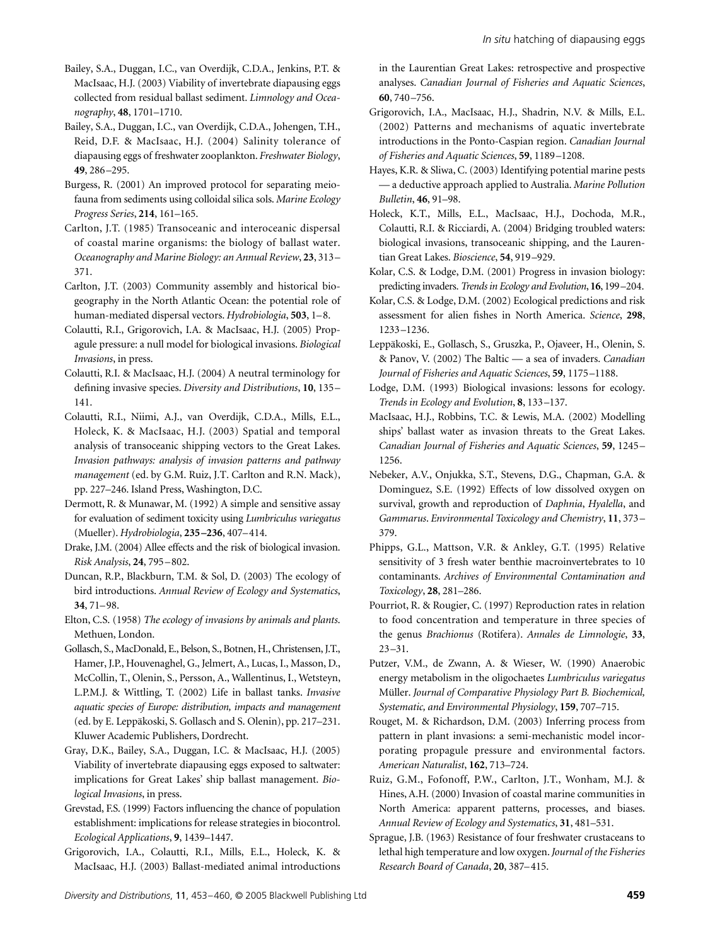Bailey, S.A., Duggan, I.C., van Overdijk, C.D.A., Jenkins, P.T. & MacIsaac, H.J. (2003) Viability of invertebrate diapausing eggs collected from residual ballast sediment. *Limnology and Oceanography*, **48**, 1701–1710.

Bailey, S.A., Duggan, I.C., van Overdijk, C.D.A., Johengen, T.H., Reid, D.F. & MacIsaac, H.J. (2004) Salinity tolerance of diapausing eggs of freshwater zooplankton. *Freshwater Biology*, **49**, 286–295.

Burgess, R. (2001) An improved protocol for separating meiofauna from sediments using colloidal silica sols. *Marine Ecology Progress Series*, **214**, 161–165.

Carlton, J.T. (1985) Transoceanic and interoceanic dispersal of coastal marine organisms: the biology of ballast water. *Oceanography and Marine Biology: an Annual Review*, **23**, 313– 371.

Carlton, J.T. (2003) Community assembly and historical biogeography in the North Atlantic Ocean: the potential role of human-mediated dispersal vectors. *Hydrobiologia*, **503**, 1–8.

Colautti, R.I., Grigorovich, I.A. & MacIsaac, H.J. (2005) Propagule pressure: a null model for biological invasions. *Biological Invasions*, in press.

Colautti, R.I. & MacIsaac, H.J. (2004) A neutral terminology for defining invasive species. *Diversity and Distributions*, **10**, 135– 141.

Colautti, R.I., Niimi, A.J., van Overdijk, C.D.A., Mills, E.L., Holeck, K. & MacIsaac, H.J. (2003) Spatial and temporal analysis of transoceanic shipping vectors to the Great Lakes. *Invasion pathways: analysis of invasion patterns and pathway management* (ed. by G.M. Ruiz, J.T. Carlton and R.N. Mack), pp. 227–246. Island Press, Washington, D.C.

Dermott, R. & Munawar, M. (1992) A simple and sensitive assay for evaluation of sediment toxicity using *Lumbriculus variegatus* (Mueller). *Hydrobiologia*, **235 –236**, 407–414.

Drake, J.M. (2004) Allee effects and the risk of biological invasion. *Risk Analysis*, **24**, 795–802.

Duncan, R.P., Blackburn, T.M. & Sol, D. (2003) The ecology of bird introductions. *Annual Review of Ecology and Systematics*, **34**, 71–98.

Elton, C.S. (1958) *The ecology of invasions by animals and plants*. Methuen, London.

Gollasch, S., MacDonald, E., Belson, S., Botnen, H., Christensen, J.T., Hamer, J.P., Houvenaghel, G., Jelmert, A., Lucas, I., Masson, D., McCollin, T., Olenin, S., Persson, A., Wallentinus, I., Wetsteyn, L.P.M.J. & Wittling, T. (2002) Life in ballast tanks. *Invasive aquatic species of Europe: distribution, impacts and management* (ed. by E. Leppäkoski, S. Gollasch and S. Olenin), pp. 217–231. Kluwer Academic Publishers, Dordrecht.

Gray, D.K., Bailey, S.A., Duggan, I.C. & MacIsaac, H.J. (2005) Viability of invertebrate diapausing eggs exposed to saltwater: implications for Great Lakes' ship ballast management. *Biological Invasions*, in press.

Grevstad, F.S. (1999) Factors influencing the chance of population establishment: implications for release strategies in biocontrol. *Ecological Applications*, **9**, 1439–1447.

Grigorovich, I.A., Colautti, R.I., Mills, E.L., Holeck, K. & MacIsaac, H.J. (2003) Ballast-mediated animal introductions

in the Laurentian Great Lakes: retrospective and prospective analyses. *Canadian Journal of Fisheries and Aquatic Sciences*, **60**, 740–756.

Grigorovich, I.A., MacIsaac, H.J., Shadrin, N.V. & Mills, E.L. (2002) Patterns and mechanisms of aquatic invertebrate introductions in the Ponto-Caspian region. *Canadian Journal of Fisheries and Aquatic Sciences*, **59**, 1189–1208.

Hayes, K.R. & Sliwa, C. (2003) Identifying potential marine pests — a deductive approach applied to Australia. *Marine Pollution Bulletin*, **46**, 91–98.

Holeck, K.T., Mills, E.L., MacIsaac, H.J., Dochoda, M.R., Colautti, R.I. & Ricciardi, A. (2004) Bridging troubled waters: biological invasions, transoceanic shipping, and the Laurentian Great Lakes. *Bioscience*, **54**, 919–929.

Kolar, C.S. & Lodge, D.M. (2001) Progress in invasion biology: predicting invaders. *Trends in Ecology and Evolution*, **16**, 199–204.

Kolar, C.S. & Lodge, D.M. (2002) Ecological predictions and risk assessment for alien fishes in North America. *Science*, **298**, 1233–1236.

Leppäkoski, E., Gollasch, S., Gruszka, P., Ojaveer, H., Olenin, S. & Panov, V. (2002) The Baltic — a sea of invaders. *Canadian Journal of Fisheries and Aquatic Sciences*, **59**, 1175–1188.

Lodge, D.M. (1993) Biological invasions: lessons for ecology. *Trends in Ecology and Evolution*, **8**, 133–137.

MacIsaac, H.J., Robbins, T.C. & Lewis, M.A. (2002) Modelling ships' ballast water as invasion threats to the Great Lakes. *Canadian Journal of Fisheries and Aquatic Sciences*, **59**, 1245– 1256.

Nebeker, A.V., Onjukka, S.T., Stevens, D.G., Chapman, G.A. & Dominguez, S.E. (1992) Effects of low dissolved oxygen on survival, growth and reproduction of *Daphnia*, *Hyalella*, and *Gammarus*. *Environmental Toxicology and Chemistry*, **11**, 373– 379.

Phipps, G.L., Mattson, V.R. & Ankley, G.T. (1995) Relative sensitivity of 3 fresh water benthie macroinvertebrates to 10 contaminants. *Archives of Environmental Contamination and Toxicology*, **28**, 281–286.

Pourriot, R. & Rougier, C. (1997) Reproduction rates in relation to food concentration and temperature in three species of the genus *Brachionus* (Rotifera). *Annales de Limnologie*, **33**, 23–31.

Putzer, V.M., de Zwann, A. & Wieser, W. (1990) Anaerobic energy metabolism in the oligochaetes *Lumbriculus variegatus* Müller. *Journal of Comparative Physiology Part B. Biochemical, Systematic, and Environmental Physiology*, **159**, 707–715.

Rouget, M. & Richardson, D.M. (2003) Inferring process from pattern in plant invasions: a semi-mechanistic model incorporating propagule pressure and environmental factors. *American Naturalist*, **162**, 713–724.

Ruiz, G.M., Fofonoff, P.W., Carlton, J.T., Wonham, M.J. & Hines, A.H. (2000) Invasion of coastal marine communities in North America: apparent patterns, processes, and biases. *Annual Review of Ecology and Systematics*, **31**, 481–531.

Sprague, J.B. (1963) Resistance of four freshwater crustaceans to lethal high temperature and low oxygen. *Journal of the Fisheries Research Board of Canada*, **20**, 387–415.